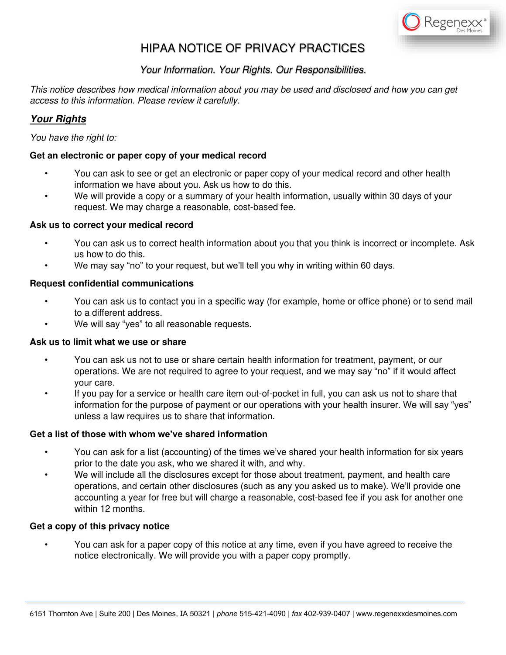

# HIPAA NOTICE OF PRIVACY PRACTICES

## *Your Information. Your Rights. Our Responsibilities.*

*This notice describes how medical information about you may be used and disclosed and how you can get access to this information. Please review it carefully.* 

## **Your Rights**

*You have the right to:* 

## **Get an electronic or paper copy of your medical record**

- You can ask to see or get an electronic or paper copy of your medical record and other health information we have about you. Ask us how to do this.
- We will provide a copy or a summary of your health information, usually within 30 days of your request. We may charge a reasonable, cost-based fee.

## **Ask us to correct your medical record**

- You can ask us to correct health information about you that you think is incorrect or incomplete. Ask us how to do this.
- We may say "no" to your request, but we'll tell you why in writing within 60 days.

### **Request confidential communications**

- You can ask us to contact you in a specific way (for example, home or office phone) or to send mail to a different address.
- We will say "yes" to all reasonable requests.

## **Ask us to limit what we use or share**

- You can ask us not to use or share certain health information for treatment, payment, or our operations. We are not required to agree to your request, and we may say "no" if it would affect your care.
- If you pay for a service or health care item out-of-pocket in full, you can ask us not to share that information for the purpose of payment or our operations with your health insurer. We will say "yes" unless a law requires us to share that information.

## **Get a list of those with whom we've shared information**

- You can ask for a list (accounting) of the times we've shared your health information for six years prior to the date you ask, who we shared it with, and why.
- We will include all the disclosures except for those about treatment, payment, and health care operations, and certain other disclosures (such as any you asked us to make). We'll provide one accounting a year for free but will charge a reasonable, cost-based fee if you ask for another one within 12 months.

## **Get a copy of this privacy notice**

• You can ask for a paper copy of this notice at any time, even if you have agreed to receive the notice electronically. We will provide you with a paper copy promptly.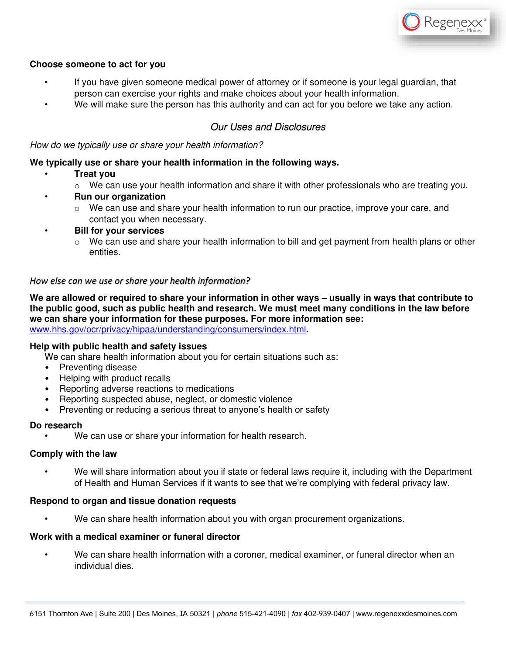

### **Choose someone to act for you**

- If you have given someone medical power of attorney or if someone is your legal guardian, that person can exercise your rights and make choices about your health information.
- We will make sure the person has this authority and can act for you before we take any action.

## *Our Uses and Disclosures*

*How do we typically use or share your health information?* 

### **We typically use or share your health information in the following ways.**

- **Treat you** 
	- o We can use your health information and share it with other professionals who are treating you.
- **Run our organization** 
	- $\circ$  We can use and share your health information to run our practice, improve your care, and contact you when necessary.
- **Bill for your services** 
	- $\circ$  We can use and share your health information to bill and get payment from health plans or other entities.

#### *How else can we use or share your health information?*

**We are allowed or required to share your information in other ways – usually in ways that contribute to the public good, such as public health and research. We must meet many conditions in the law before we can share your information for these purposes. For more information see:**  [www.hhs.gov/ocr/privacy/hipaa/understanding/consumers/index.html](http://www.hhs.gov/ocr/privacy/hipaa/understanding/consumers/index.html)**.** 

#### **Help with public health and safety issues**

We can share health information about you for certain situations such as:

- Preventing disease
- Helping with product recalls
- Reporting adverse reactions to medications
- Reporting suspected abuse, neglect, or domestic violence
- Preventing or reducing a serious threat to anyone's health or safety

#### **Do research**

We can use or share your information for health research.

#### **Comply with the law**

We will share information about you if state or federal laws require it, including with the Department of Health and Human Services if it wants to see that we're complying with federal privacy law.

#### **Respond to organ and tissue donation requests**

We can share health information about you with organ procurement organizations.

#### **Work with a medical examiner or funeral director**

We can share health information with a coroner, medical examiner, or funeral director when an individual dies.